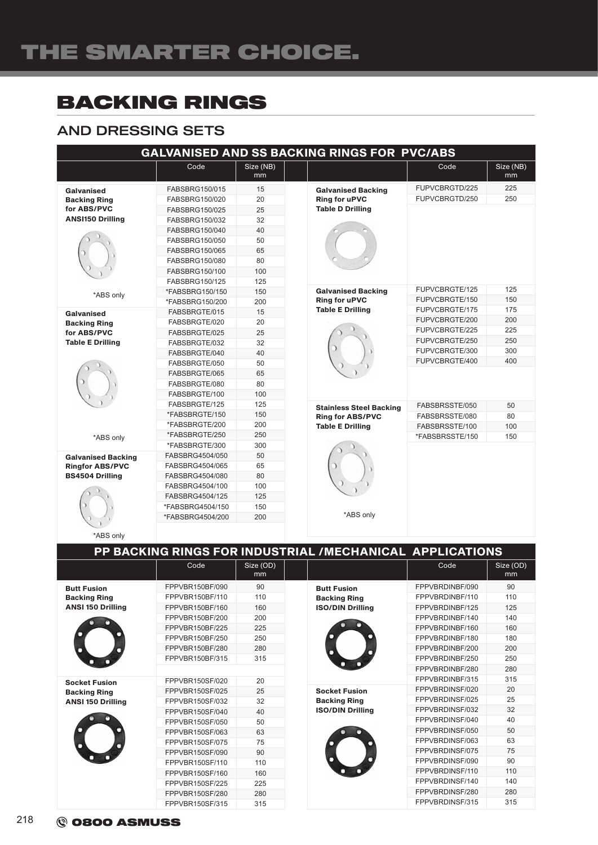# BACKING RINGS

### AND DRESSING SETS

| GALVANISED AND SS BACKING RINGS FOR PVC/ABS                                                     |                                                                                                                            |                                        |                                                                              |                                                     |                   |
|-------------------------------------------------------------------------------------------------|----------------------------------------------------------------------------------------------------------------------------|----------------------------------------|------------------------------------------------------------------------------|-----------------------------------------------------|-------------------|
|                                                                                                 | Code                                                                                                                       | Size (NB)<br>mm                        |                                                                              | Code                                                | Size (NB)<br>mm   |
| Galvanised<br><b>Backing Ring</b><br>for ABS/PVC<br><b>ANSI150 Drilling</b>                     | FABSBRG150/015<br>FABSBRG150/020<br>FABSBRG150/025<br>FABSBRG150/032<br>FABSBRG150/040<br>FABSBRG150/050<br>FABSBRG150/065 | 15<br>20<br>25<br>32<br>40<br>50<br>65 | <b>Galvanised Backing</b><br><b>Ring for uPVC</b><br><b>Table D Drilling</b> | FUPVCBRGTD/225<br>FUPVCBRGTD/250                    | 225<br>250        |
|                                                                                                 | FABSBRG150/080<br>FABSBRG150/100<br>FABSBRG150/125                                                                         | 80<br>100<br>125                       |                                                                              |                                                     |                   |
| *ABS only                                                                                       | *FABSBRG150/150<br>*FABSBRG150/200                                                                                         | 150<br>200                             | <b>Galvanised Backing</b><br><b>Ring for uPVC</b><br><b>Table E Drilling</b> | FUPVCBRGTE/125<br>FUPVCBRGTE/150<br>FUPVCBRGTE/175  | 125<br>150<br>175 |
| <b>Galvanised</b><br><b>Backing Ring</b><br>for ABS/PVC<br><b>Table E Drilling</b><br>*ABS only | FABSBRGTE/015<br>FABSBRGTE/020<br>FABSBRGTE/025<br>FABSBRGTE/032                                                           | 15<br>20<br>25<br>32                   |                                                                              | FUPVCBRGTE/200<br>FUPVCBRGTE/225<br>FUPVCBRGTE/250  | 200<br>225<br>250 |
|                                                                                                 | FABSBRGTE/040<br>FABSBRGTE/050<br>FABSBRGTE/065                                                                            | 40<br>50<br>65                         |                                                                              | FUPVCBRGTE/300<br>FUPVCBRGTE/400                    | 300<br>400        |
|                                                                                                 | FABSBRGTE/080<br>FABSBRGTE/100<br>FABSBRGTE/125                                                                            | 80<br>100<br>125                       | <b>Stainless Steel Backing</b>                                               | FABSBRSSTE/050                                      | 50                |
|                                                                                                 | *FABSBRGTE/150<br>*FABSBRGTE/200<br>*FABSBRGTE/250                                                                         | 150<br>200<br>250                      | <b>Ring for ABS/PVC</b><br><b>Table E Drilling</b>                           | FABSBRSSTE/080<br>FABSBRSSTE/100<br>*FABSBRSSTE/150 | 80<br>100<br>150  |
| <b>Galvanised Backing</b><br><b>Ringfor ABS/PVC</b><br><b>BS4504 Drilling</b>                   | *FABSBRGTE/300<br>FABSBRG4504/050<br>FABSBRG4504/065                                                                       | 300<br>50<br>65                        |                                                                              |                                                     |                   |
|                                                                                                 | FABSBRG4504/080<br>FABSBRG4504/100<br>FABSBRG4504/125<br>*FABSBRG4504/150<br>*FABSBRG4504/200                              | 80<br>100<br>125<br>150<br>200         | *ABS only                                                                    |                                                     |                   |
| *ABS only                                                                                       |                                                                                                                            |                                        |                                                                              |                                                     |                   |

|                                                                         |                 |                 | PP BACKING RINGS FOR INDUSTRIAL /MECHANICAL APPLICATIONS               |                 |                             |
|-------------------------------------------------------------------------|-----------------|-----------------|------------------------------------------------------------------------|-----------------|-----------------------------|
|                                                                         | Code            | Size (OD)<br>mm |                                                                        | Code            | Size (OD)<br>m <sub>m</sub> |
| <b>Butt Fusion</b><br><b>Backing Ring</b><br><b>ANSI 150 Drilling</b>   | FPPVBR150BF/090 | 90              | <b>Butt Fusion</b><br><b>Backing Ring</b><br><b>ISO/DIN Drilling</b>   | FPPVBRDINBF/090 | 90                          |
|                                                                         | FPPVBR150BF/110 | 110             |                                                                        | FPPVBRDINBF/110 | 110                         |
|                                                                         | FPPVBR150BF/160 | 160             |                                                                        | FPPVBRDINBF/125 | 125                         |
|                                                                         | FPPVBR150BF/200 | 200             |                                                                        | FPPVBRDINBF/140 | 140                         |
|                                                                         | FPPVBR150BF/225 | 225             |                                                                        | FPPVBRDINBF/160 | 160                         |
|                                                                         | FPPVBR150BF/250 | 250             |                                                                        | FPPVBRDINBF/180 | 180                         |
|                                                                         | FPPVBR150BF/280 | 280             |                                                                        | FPPVBRDINBF/200 | 200                         |
|                                                                         | FPPVBR150BF/315 | 315             |                                                                        | FPPVBRDINBF/250 | 250                         |
|                                                                         |                 |                 |                                                                        | FPPVBRDINBF/280 | 280                         |
| <b>Socket Fusion</b><br><b>Backing Ring</b><br><b>ANSI 150 Drilling</b> | FPPVBR150SF/020 | 20              | <b>Socket Fusion</b><br><b>Backing Ring</b><br><b>ISO/DIN Drilling</b> | FPPVBRDINBF/315 | 315                         |
|                                                                         | FPPVBR150SF/025 | 25              |                                                                        | FPPVBRDINSF/020 | 20                          |
|                                                                         | FPPVBR150SF/032 | 32              |                                                                        | FPPVBRDINSF/025 | 25                          |
|                                                                         | FPPVBR150SF/040 | 40              |                                                                        | FPPVBRDINSF/032 | 32                          |
|                                                                         | FPPVBR150SF/050 | 50              |                                                                        | FPPVBRDINSF/040 | 40                          |
|                                                                         | FPPVBR150SF/063 | 63              |                                                                        | FPPVBRDINSF/050 | 50                          |
|                                                                         | FPPVBR150SF/075 | 75              |                                                                        | FPPVBRDINSF/063 | 63                          |
|                                                                         | FPPVBR150SF/090 | 90              |                                                                        | FPPVBRDINSF/075 | 75                          |
|                                                                         | FPPVBR150SF/110 | 110             |                                                                        | FPPVBRDINSF/090 | 90                          |
|                                                                         | FPPVBR150SF/160 | 160             |                                                                        | FPPVBRDINSF/110 | 110                         |
|                                                                         | FPPVBR150SF/225 | 225             |                                                                        | FPPVBRDINSF/140 | 140                         |
|                                                                         | FPPVBR150SF/280 | 280             |                                                                        | FPPVBRDINSF/280 | 280                         |
|                                                                         | FPPVBR150SF/315 | 315             |                                                                        | FPPVBRDINSF/315 | 315                         |